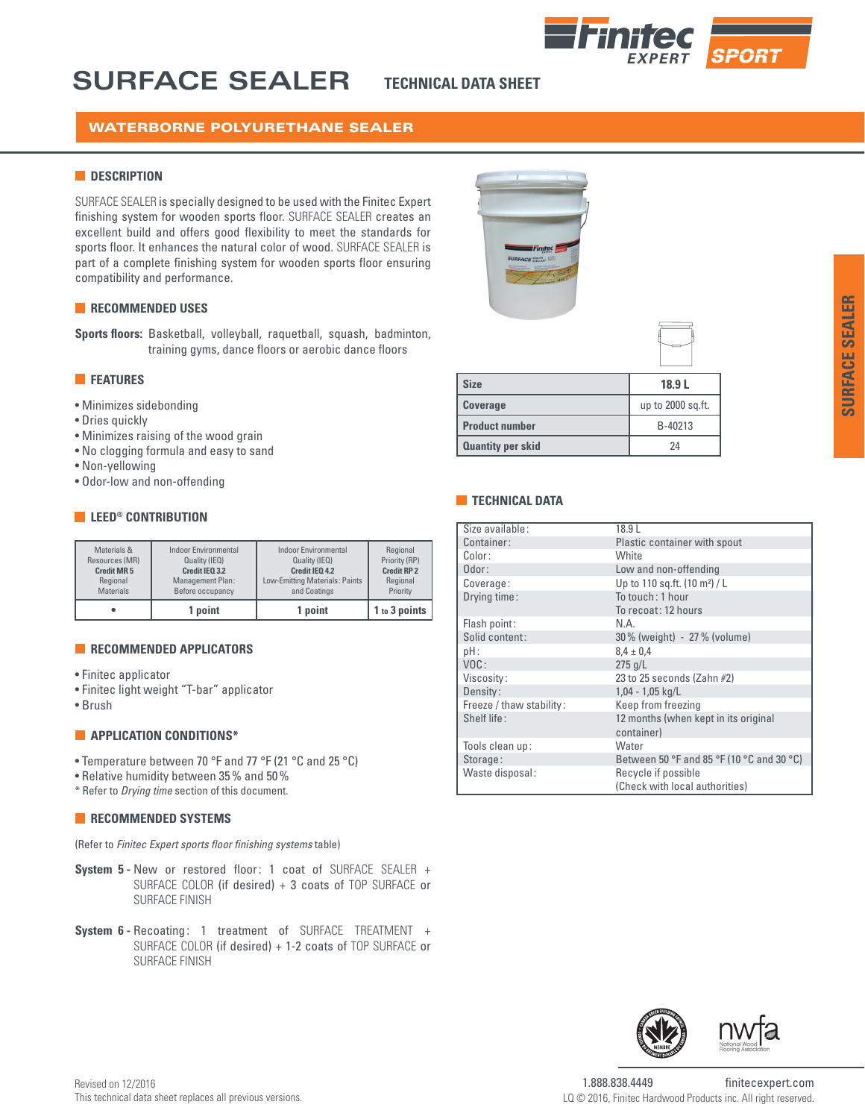

# **SURFACE SEALER**

**TECHNICAL DATA SHEET**

# WATERBORNE POLYURETHANE SEALER

### **N** DESCRIPTION

SURFACE SEALER is specially designed to be used with the Finitec Expert finishing system for wooden sports floor. SURFACE SEALER creates an excellent build and offers good flexibility to meet the standards for sports floor. It enhances the natural color of wood. SURFACE SEALER is part of a complete finishing system for wooden sports floor ensuring compatibility and performance.

### **RECOMMENDED USES**

**Sports floors:** Basketball, volleyball, raquetball, squash, badminton, training gyms, dance floors or aerobic dance floors

## **FEATURES**

- Minimizes sidebonding
- Dries quickly
- Minimizes raising of the wood grain
- No clogging formula and easy to sand
- Non-yellowing
- Odor-low and non-offending

## **LEED® CONTRIBUTION**

| Materials &       | <b>Indoor Environmental</b> | <b>Indoor Environmental</b>    | Regional           |
|-------------------|-----------------------------|--------------------------------|--------------------|
| Resources (MR)    | Quality (IEQ)               | Quality (IEQ)                  | Priority (RP)      |
| <b>Credit MR5</b> | Credit IEQ 3.2              | Credit IEO 4.2                 | <b>Credit RP 2</b> |
| Regional          | Management Plan:            | Low-Emitting Materials: Paints | Regional           |
| <b>Materials</b>  | Before occupancy            | and Coatings                   | Priority           |
|                   | 1 point                     | 1 point                        | 1 to 3 points      |

### **RECOMMENDED APPLICATORS**

- Finitec applicator
- Finitec light weight "T-bar" applicator
- Brush

### **APPLICATION CONDITIONS\***

- Temperature between 70 °F and 77 °F (21 °C and 25 °C)
- Relative humidity between 35% and 50%
- \* Refer to *Drying time* section of this document.

### **RECOMMENDED SYSTEMS**

(Refer to *Finitec Expert sports floor finishing systems* table)

- **System 5 -** New or restored floor: 1 coat of SURFACE SEALER + SURFACE COLOR (if desired) + 3 coats of TOP SURFACE or SURFACE FINISH
- **System 6 -** Recoating: 1 treatment of SURFACE TREATMENT + SURFACE COLOR (if desired) + 1-2 coats of TOP SURFACE or SURFACE FINISH



## **TECHNICAL DATA**

| Size available:          | 18.9L                                     |
|--------------------------|-------------------------------------------|
| Container:               | Plastic container with spout              |
| Color:                   | White                                     |
| Odor:                    | Low and non-offending                     |
| Coverage:                | Up to 110 sq.ft. (10 m <sup>2</sup> ) / L |
| Drying time:             | To touch: 1 hour                          |
|                          | To recoat: 12 hours                       |
| Flash point:             | N.A.                                      |
| Solid content:           | 30% (weight) - 27% (volume)               |
| pH:                      | $8.4 \pm 0.4$                             |
| VOC:                     | $275$ g/L                                 |
| Viscosity:               | 23 to 25 seconds (Zahn $#2$ )             |
| Density:                 | $1,04 - 1,05$ kg/L                        |
| Freeze / thaw stability: | Keep from freezing                        |
| Shelf life:              | 12 months (when kept in its original      |
|                          | container)                                |
| Tools clean up:          | Water                                     |
| Storage:                 | Between 50 °F and 85 °F (10 °C and 30 °C) |
| Waste disposal:          | Recycle if possible                       |
|                          | (Check with local authorities)            |